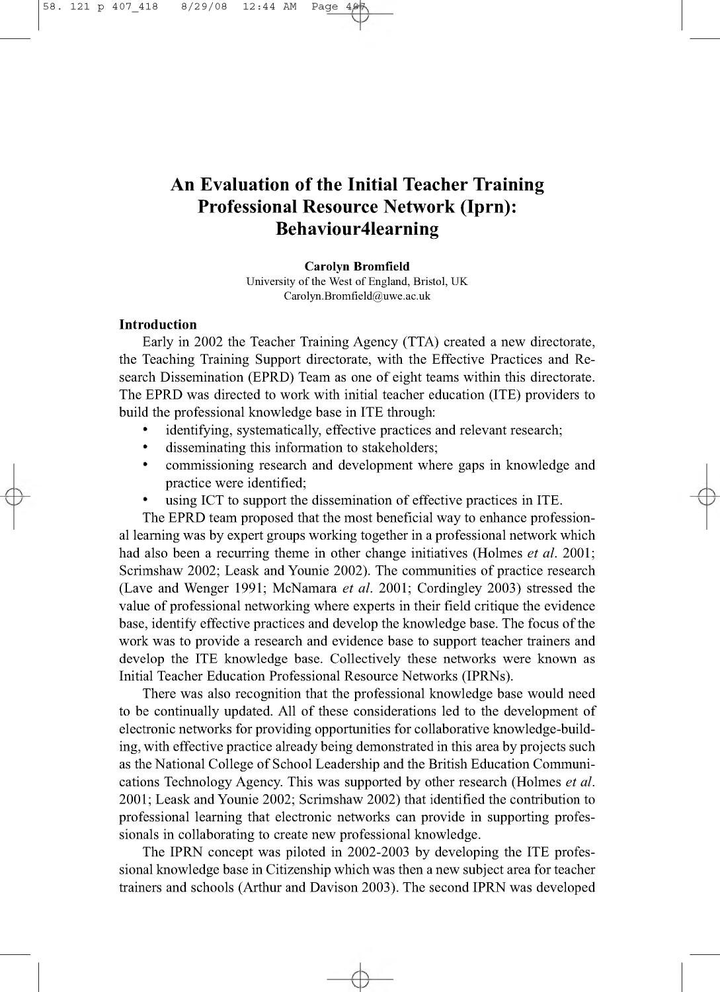# **An Evaluation of the Initial Teacher Training Professional Resource Network (Iprn): Behaviour4learning**

**Carolyn Bromfield** University of the West of England, Bristol, UK [Carolyn.Bromfield@uwe.ac.uk](mailto:Carolyn.Bromfield@uwe.ac.uk)

### **Introduction**

Early in 2002 the Teacher Training Agency (TTA) created a new directorate, the Teaching Training Support directorate, with the Effective Practices and Research Dissemination (EPRD) Team as one of eight teams within this directorate. The EPRD was directed to work with initial teacher education (ITE) providers to build the professional knowledge base in ITE through:

- identifying, systematically, effective practices and relevant research;
- disseminating this information to stakeholders;
- commissioning research and development where gaps in knowledge and practice were identified;
- using ICT to support the dissemination of effective practices in ITE.

The EPRD team proposed that the most beneficial way to enhance professional learning was by expert groups working together in a professional network which had also been a recurring theme in other change initiatives (Holmes *et al.* 2001; Scrimshaw 2002; Leask and Younie 2002). The communities of practice research (Lave and Wenger 1991; McNamara *et al.* 2001; Cordingley 2003) stressed the value of professional networking where experts in their field critique the evidence base, identify effective practices and develop the knowledge base. The focus of the work was to provide a research and evidence base to support teacher trainers and develop the ITE knowledge base. Collectively these networks were known as Initial Teacher Education Professional Resource Networks (IPRNs).

There was also recognition that the professional knowledge base would need to be continually updated. All of these considerations led to the development of electronic networks for providing opportunities for collaborative knowledge-building, with effective practice already being demonstrated in this area by projects such as the National College of School Leadership and the British Education Communications Technology Agency. This was supported by other research (Holmes *et al.* 2001; Leask and Younie 2002; Scrimshaw 2002) that identified the contribution to professional learning that electronic networks can provide in supporting professionals in collaborating to create new professional knowledge.

The IPRN concept was piloted in 2002-2003 by developing the ITE professional knowledge base in Citizenship which was then a new subject area for teacher trainers and schools (Arthur and Davison 2003). The second IPRN was developed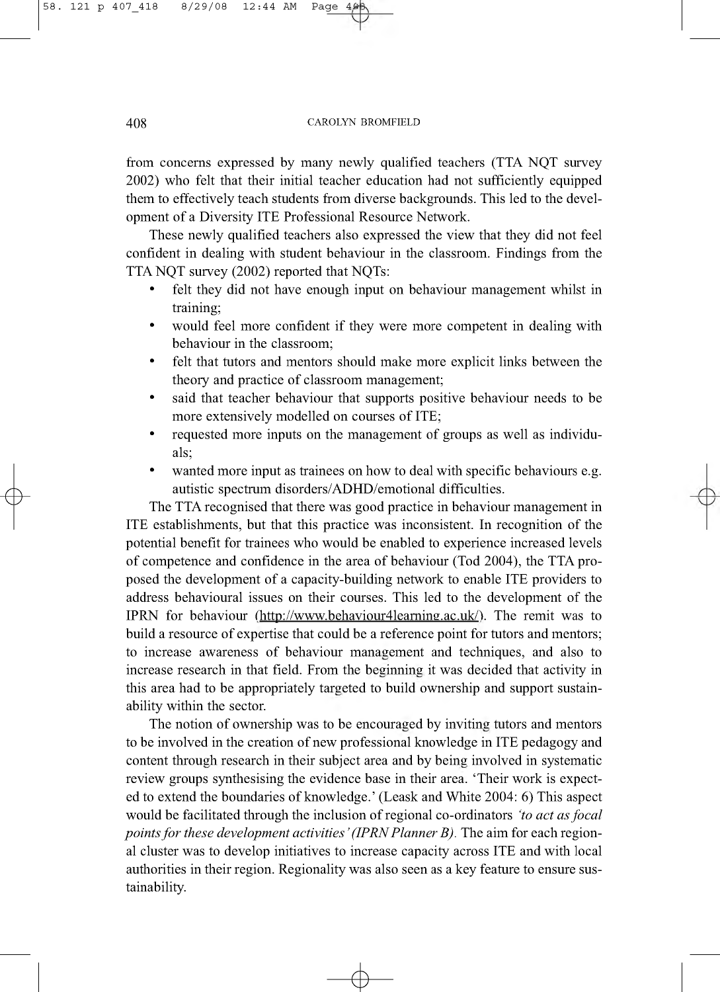from concerns expressed by many newly qualified teachers (TTA NQT survey 2002) who felt that their initial teacher education had not sufficiently equipped them to effectively teach students from diverse backgrounds. This led to the development of a Diversity ITE Professional Resource Network.

These newly qualified teachers also expressed the view that they did not feel confident in dealing with student behaviour in the classroom. Findings from the TTA NQT survey (2002) reported that NQTs:

- felt they did not have enough input on behaviour management whilst in training;
- would feel more confident if they were more competent in dealing with behaviour in the classroom;
- felt that tutors and mentors should make more explicit links between the theory and practice of classroom management;
- said that teacher behaviour that supports positive behaviour needs to be more extensively modelled on courses of ITE;
- requested more inputs on the management of groups as well as individuals;
- wanted more input as trainees on how to deal with specific behaviours e.g. autistic spectrum disorders/ADHD/emotional difficulties.

The TTA recognised that there was good practice in behaviour management in ITE establishments, but that this practice was inconsistent. In recognition of the potential benefit for trainees who would be enabled to experience increased levels of competence and confidence in the area of behaviour (Tod 2004), the TTA proposed the development of a capacity-building network to enable ITE providers to address behavioural issues on their courses. This led to the development of the IPRN for behaviour [\(http://www.behaviour4leaming.ac.uk/](http://www.behaviour4leaming.ac.uk/)). The remit was to build a resource of expertise that could be a reference point for tutors and mentors; to increase awareness of behaviour management and techniques, and also to increase research in that field. From the beginning it was decided that activity in this area had to be appropriately targeted to build ownership and support sustainability within the sector.

The notion of ownership was to be encouraged by inviting tutors and mentors to be involved in the creation of new professional knowledge in ITE pedagogy and content through research in their subject area and by being involved in systematic review groups synthesising the evidence base in their area. 'Their work is expected to extend the boundaries of knowledge.' (Leask and White 2004: 6) This aspect would be facilitated through the inclusion of regional co-ordinators *'to act as focal points for these development activities' (IPRN Planner B)*. The aim for each regional cluster was to develop initiatives to increase capacity across ITE and with local authorities in their region. Regionality was also seen as a key feature to ensure sustainability.

 $\rightarrow$ 

 $\phi$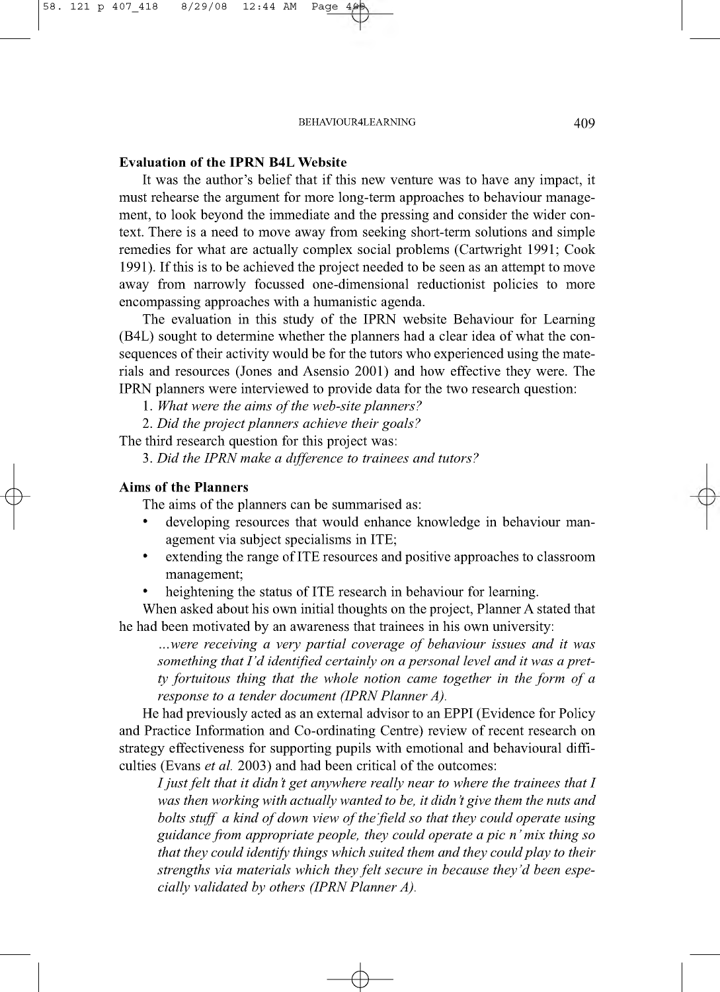**Evaluation of the IPRN B4L Website**

It was the author's belief that if this new venture was to have any impact, it must rehearse the argument for more long-term approaches to behaviour management, to look beyond the immediate and the pressing and consider the wider context. There is a need to move away from seeking short-term solutions and simple remedies for what are actually complex social problems (Cartwright 1991; Cook 1991). If this is to be achieved the project needed to be seen as an attempt to move away from narrowly focussed one-dimensional reductionist policies to more encompassing approaches with a humanistic agenda.

The evaluation in this study of the IPRN website Behaviour for Learning (B4L) sought to determine whether the planners had a clear idea of what the consequences of their activity would be for the tutors who experienced using the materials and resources (Jones and Asensio 2001) and how effective they were. The IPRN planners were interviewed to provide data for the two research question:

1. What were the aims of the web-site planners?

2. *Did the project planners achieve their goals?*

The third research question for this project was:

3. *Did the IPRN make a difference to trainees and tutors?*

# **Aims of the Planners**

 $\phi$ 

The aims of the planners can be summarised as:

- developing resources that would enhance knowledge in behaviour management via subject specialisms in ITE;
- extending the range of ITE resources and positive approaches to classroom management;
- heightening the status of ITE research in behaviour for learning.

When asked about his own initial thoughts on the project, Planner A stated that he had been motivated by an awareness that trainees in his own university:

...were receiving a very partial coverage of behaviour issues and it was *something that I 'd identified certainly on a personal level and it was a pretty fortuitous thing that the whole notion came together in the form of a response to a tender document (IPRN Planner A).*

He had previously acted as an external advisor to an EPPI (Evidence for Policy and Practice Information and Co-ordinating Centre) review of recent research on strategy effectiveness for supporting pupils with emotional and behavioural difficulties (Evans *et al.* 2003) and had been critical of the outcomes:

 $\rightarrow$ 

*I just felt that it didn't get anywhere really near to where the trainees that I was then working with actually wanted to be, it didn't give them the nuts and bolts stuff a kind of down view of the field so that they could operate using guidance from appropriate people, they could operate a pic n ' mix thing so that they could identify things which suited them and they could play to their strengths via materials which they felt secure in because they'd been especially validated by others (IPRN Planner A).*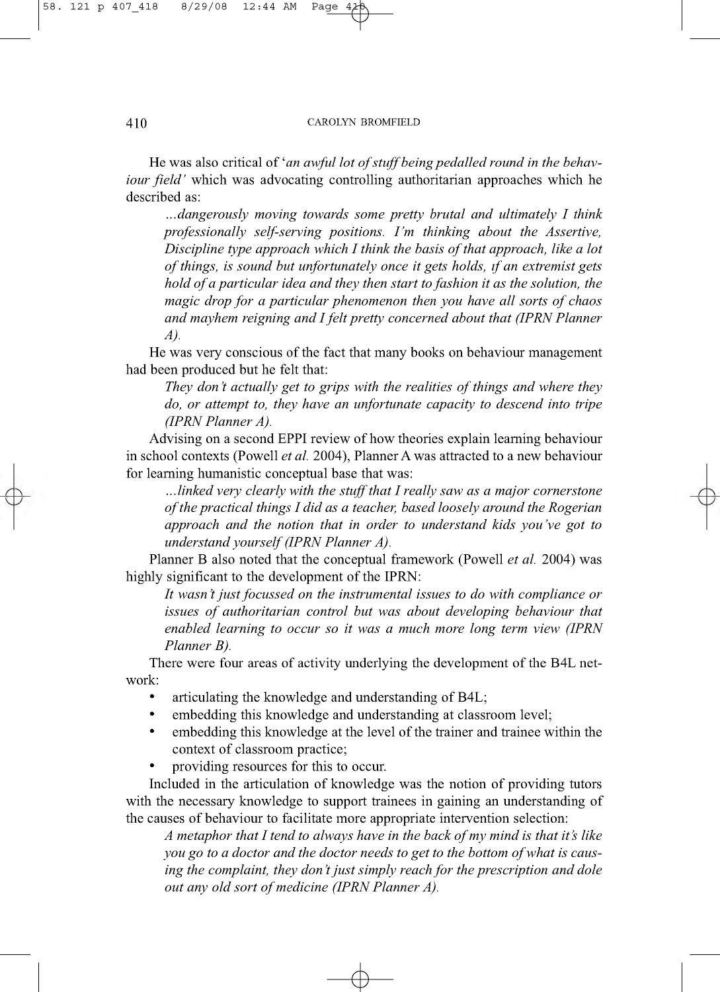*Q -*

He was also critical of 'an awful lot of stuff being pedalled round in the behav*iour field'* which was advocating controlling authoritarian approaches which he described as:

*...dangerously moving towards some pretty brutal and ultimately I think professionally self-serving positions. I 'm thinking about the Assertive, Discipline type approach which I think the basis of that approach, like a lot of things, is sound but unfortunately once it gets holds, if an extremist gets hold of a particular idea and they then start to fashion it as the solution, the magic drop for a particular phenomenon then you have all sorts of chaos and mayhem reigning and I felt pretty concerned about that (IPRN Planner A).*

He was very conscious of the fact that many books on behaviour management had been produced but he felt that:

*They don't actually get to grips with the realities of things and where they do, or attempt to, they have an unfortunate capacity to descend into tripe (IPRN Planner A).*

Advising on a second EPPI review of how theories explain learning behaviour in school contexts (Powell *et al.* 2004), Planner A was attracted to a new behaviour for learning humanistic conceptual base that was:

*..linked very clearly with the stuff that I really saw as a major cornerstone o f the practical things I did as a teacher, based loosely around the Rogerian approach and the notion that in order to understand kids you've got to understand yourself (IPRN Planner A).*

Planner B also noted that the conceptual framework (Powell *et al.* 2004) was highly significant to the development of the IPRN:

*It wasn't just focussed on the instrumental issues to do with compliance or issues of authoritarian control but was about developing behaviour that enabled learning to occur so it was a much more long term view (IPRN Planner B).*

There were four areas of activity underlying the development of the B4L network:

- articulating the knowledge and understanding of B4L;
- embedding this knowledge and understanding at classroom level;
- embedding this knowledge at the level of the trainer and trainee within the context of classroom practice;
- providing resources for this to occur.

Included in the articulation of knowledge was the notion of providing tutors with the necessary knowledge to support trainees in gaining an understanding of the causes of behaviour to facilitate more appropriate intervention selection:

 $\rightarrow$ 

*A metaphor that I tend to always have in the back of my mind is that it's like you go to a doctor and the doctor needs to get to the bottom of what is causing the complaint, they don't just simply reach for the prescription and dole out any old sort of medicine (IPRN Planner A).*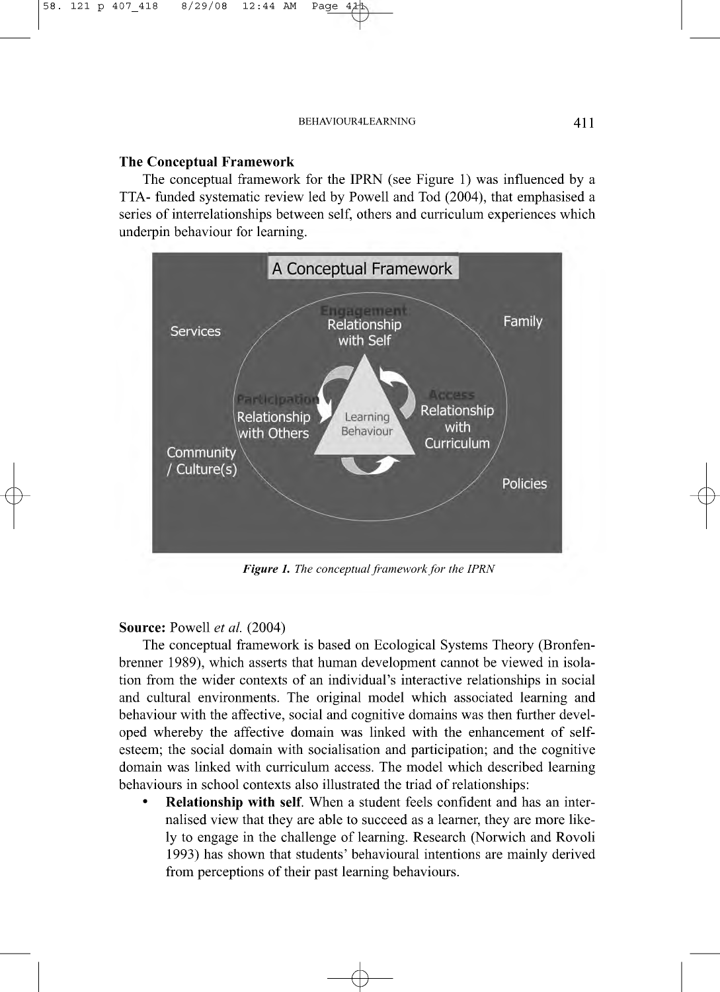# **The Conceptual Framework**

58. 121 p 407\_418 8/29/08 12:44 AM Page 4¿

The conceptual framework for the IPRN (see Figure 1) was influenced by a TTA- funded systematic review led by Powell and Tod (2004), that emphasised a series of interrelationships between self, others and curriculum experiences which underpin behaviour for learning.



*Figure 1. The conceptual framework for the IPRN*

### **Source:** Powell *et al.* (2004)

 $\phi$ 

The conceptual framework is based on Ecological Systems Theory (Bronfenbrenner 1989), which asserts that human development cannot be viewed in isolation from the wider contexts of an individual's interactive relationships in social and cultural environments. The original model which associated learning and behaviour with the affective, social and cognitive domains was then further developed whereby the affective domain was linked with the enhancement of selfesteem; the social domain with socialisation and participation; and the cognitive domain was linked with curriculum access. The model which described learning behaviours in school contexts also illustrated the triad of relationships:

Relationship with self. When a student feels confident and has an internalised view that they are able to succeed as a learner, they are more likely to engage in the challenge of learning. Research (Norwich and Rovoli 1993) has shown that students' behavioural intentions are mainly derived from perceptions of their past learning behaviours.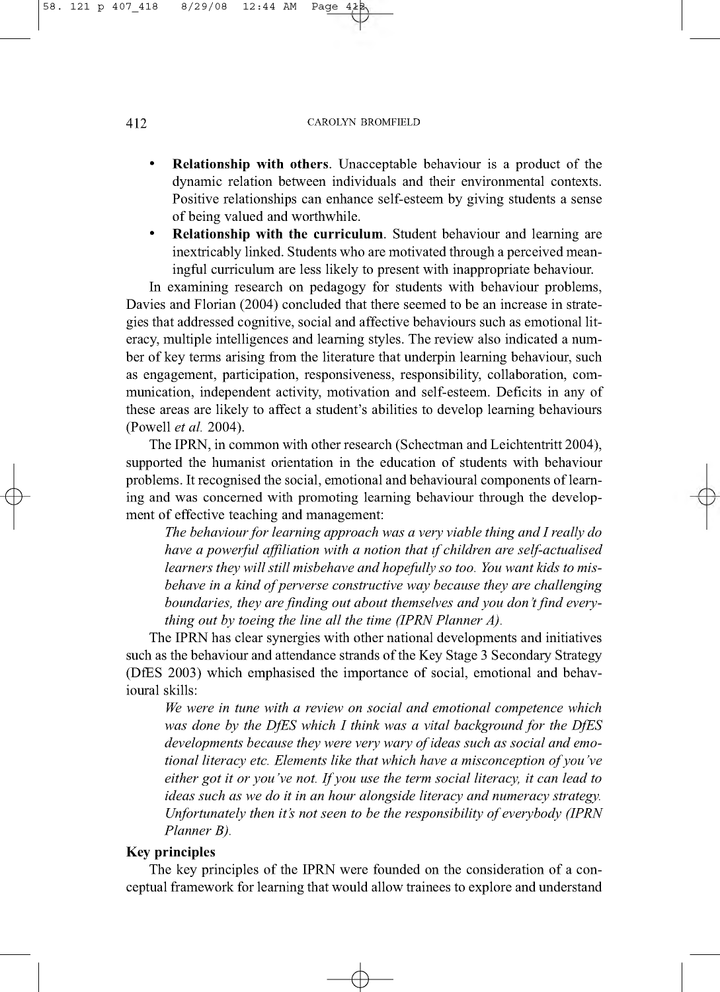- Relationship with others. Unacceptable behaviour is a product of the dynamic relation between individuals and their environmental contexts. Positive relationships can enhance self-esteem by giving students a sense of being valued and worthwhile.
- Relationship with the curriculum. Student behaviour and learning are inextricably linked. Students who are motivated through a perceived meaningful curriculum are less likely to present with inappropriate behaviour.

In examining research on pedagogy for students with behaviour problems, Davies and Florian (2004) concluded that there seemed to be an increase in strategies that addressed cognitive, social and affective behaviours such as emotional literacy, multiple intelligences and learning styles. The review also indicated a number of key terms arising from the literature that underpin learning behaviour, such as engagement, participation, responsiveness, responsibility, collaboration, communication, independent activity, motivation and self-esteem. Deficits in any of these areas are likely to affect a student's abilities to develop learning behaviours (Powell *et al.* 2004).

The IPRN, in common with other research (Schectman and Leichtentritt 2004), supported the humanist orientation in the education of students with behaviour problems. It recognised the social, emotional and behavioural components of learning and was concerned with promoting learning behaviour through the development of effective teaching and management:

*The behaviour fo r learning approach was a very viable thing and I really do have a powerful affiliation with a notion that if children are self-actualised learners they will still misbehave and hopefully so too. You want kids to misbehave in a kind of perverse constructive way because they are challenging boundaries, they are finding out about themselves and you don't find everything out by toeing the line all the time (IPRN Planner A).*

The IPRN has clear synergies with other national developments and initiatives such as the behaviour and attendance strands of the Key Stage 3 Secondary Strategy (DfES 2003) which emphasised the importance of social, emotional and behavioural skills:

*We were in tune with a review on social and emotional competence which was done by the DfES which I think was a vital background for the DfES* developments because they were very wary of ideas such as social and emo*tional literacy etc. Elements like that which have a misconception of you've either got it or you've not. If you use the term social literacy, it can lead to ideas such as we do it in an hour alongside literacy and numeracy strategy. Unfortunately then it's not seen to be the responsibility of everybody (IPRN Planner B).*

### **Key principles**

The key principles of the IPRN were founded on the consideration of a conceptual framework for learning that would allow trainees to explore and understand

 $\rightarrow$ 

 $\phi$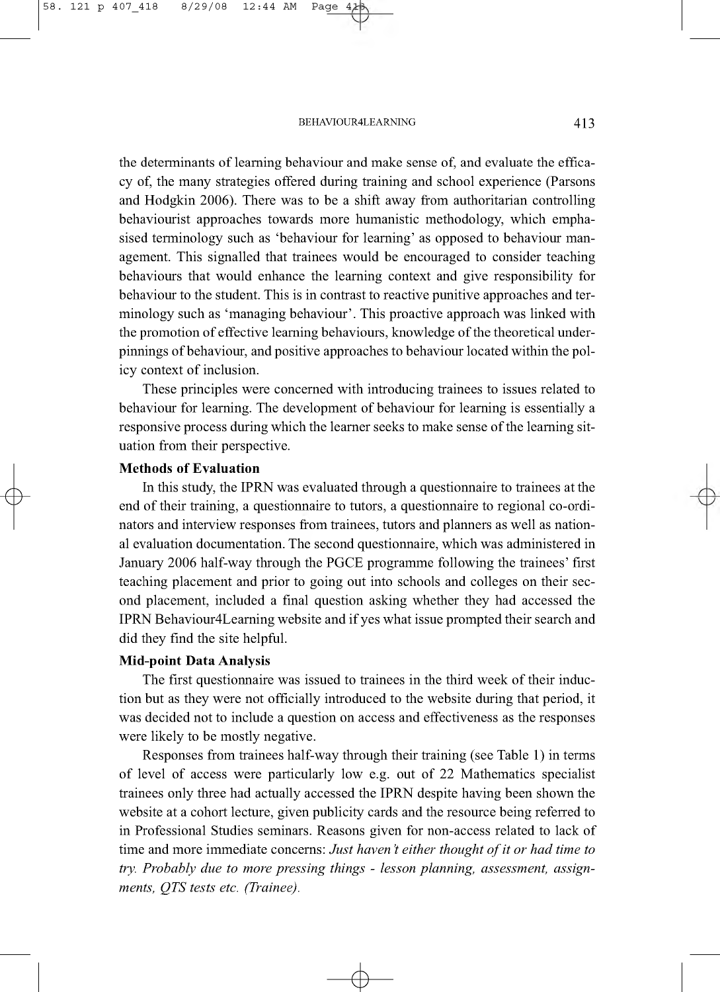the determinants of learning behaviour and make sense of, and evaluate the efficacy of, the many strategies offered during training and school experience (Parsons and Hodgkin 2006). There was to be a shift away from authoritarian controlling behaviourist approaches towards more humanistic methodology, which emphasised terminology such as 'behaviour for learning' as opposed to behaviour management. This signalled that trainees would be encouraged to consider teaching behaviours that would enhance the learning context and give responsibility for behaviour to the student. This is in contrast to reactive punitive approaches and terminology such as 'managing behaviour'. This proactive approach was linked with the promotion of effective learning behaviours, knowledge of the theoretical underpinnings of behaviour, and positive approaches to behaviour located within the policy context of inclusion.

These principles were concerned with introducing trainees to issues related to behaviour for learning. The development of behaviour for learning is essentially a responsive process during which the learner seeks to make sense of the learning situation from their perspective.

# **Methods of Evaluation**

 $\in$ 

In this study, the IPRN was evaluated through a questionnaire to trainees at the end of their training, a questionnaire to tutors, a questionnaire to regional co-ordinators and interview responses from trainees, tutors and planners as well as national evaluation documentation. The second questionnaire, which was administered in January 2006 half-way through the PGCE programme following the trainees' first teaching placement and prior to going out into schools and colleges on their second placement, included a final question asking whether they had accessed the IPRN Behaviour4Learning website and if yes what issue prompted their search and did they find the site helpful.

# **Mid-point Data Analysis**

The first questionnaire was issued to trainees in the third week of their induction but as they were not officially introduced to the website during that period, it was decided not to include a question on access and effectiveness as the responses were likely to be mostly negative.

Responses from trainees half-way through their training (see Table 1) in terms of level of access were particularly low e.g. out of 22 Mathematics specialist trainees only three had actually accessed the IPRN despite having been shown the website at a cohort lecture, given publicity cards and the resource being referred to in Professional Studies seminars. Reasons given for non-access related to lack of time and more immediate concerns: *Just haven't either thought of it or had time to try. Probably due to more pressing things - lesson planning, assessment, assignments, QTS tests etc. (Trainee).*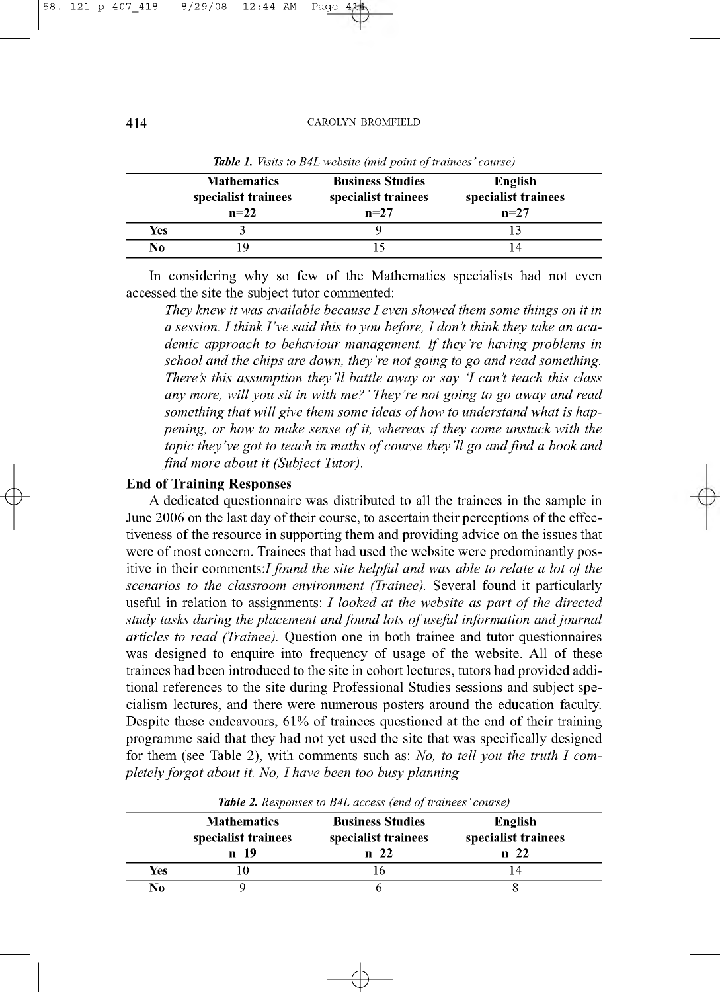|     | <b>Mathematics</b><br>specialist trainees<br>$n=22$ | <b>Business Studies</b><br>specialist trainees<br>$n=27$ | English<br>specialist trainees<br>$n=27$ |
|-----|-----------------------------------------------------|----------------------------------------------------------|------------------------------------------|
| Yes |                                                     |                                                          |                                          |
| No  |                                                     |                                                          |                                          |

**Table 1.** *Visits to B4L website (mid-point of trainees' course)* 

In considering why so few of the Mathematics specialists had not even accessed the site the subject tutor commented:

*They knew it was available because I even showed them some things on it in a session. I think I 've said this to you before, I don't think they take an academic approach to behaviour management. If they're having problems in school and the chips are down, they're not going to go and read something. There's this assumption they'll battle away or say 'I can't teach this class any more, will you sit in with me?' They're not going to go away and read* something that will give them some ideas of how to understand what is hap*pening, or how to make sense of it, whereas if they come unstuck with the topic they've got to teach in maths of course they'll go and find a book and find more about it (Subject Tutor).*

### **End of Training Responses**

A dedicated questionnaire was distributed to all the trainees in the sample in June 2006 on the last day of their course, to ascertain their perceptions of the effectiveness of the resource in supporting them and providing advice on the issues that were of most concern. Trainees that had used the website were predominantly positive in their comments*:I found the site helpful and was able to relate a lot of the scenarios to the classroom environment (Trainee).* Several found it particularly useful in relation to assignments: *I looked at the website as part of the directed* study tasks during the placement and found lots of useful information and journal *articles to read (Trainee).* Question one in both trainee and tutor questionnaires was designed to enquire into frequency of usage of the website. All of these trainees had been introduced to the site in cohort lectures, tutors had provided additional references to the site during Professional Studies sessions and subject specialism lectures, and there were numerous posters around the education faculty. Despite these endeavours, 61% of trainees questioned at the end of their training programme said that they had not yet used the site that was specifically designed for them (see Table 2), with comments such as: *No, to tell you the truth I completely forgot about it. No, I have been too busy planning*

|     | <b>Mathematics</b><br>specialist trainees<br>$n=19$ | <b>Business Studies</b><br>specialist trainees<br>$n=22$ | English<br>specialist trainees<br>$n=22$ |
|-----|-----------------------------------------------------|----------------------------------------------------------|------------------------------------------|
| Yes |                                                     |                                                          |                                          |
| No  |                                                     |                                                          |                                          |

 $\rightarrow$ 

*Table 2. Responses to RAI access (end of trainees' course)* 

 $\in$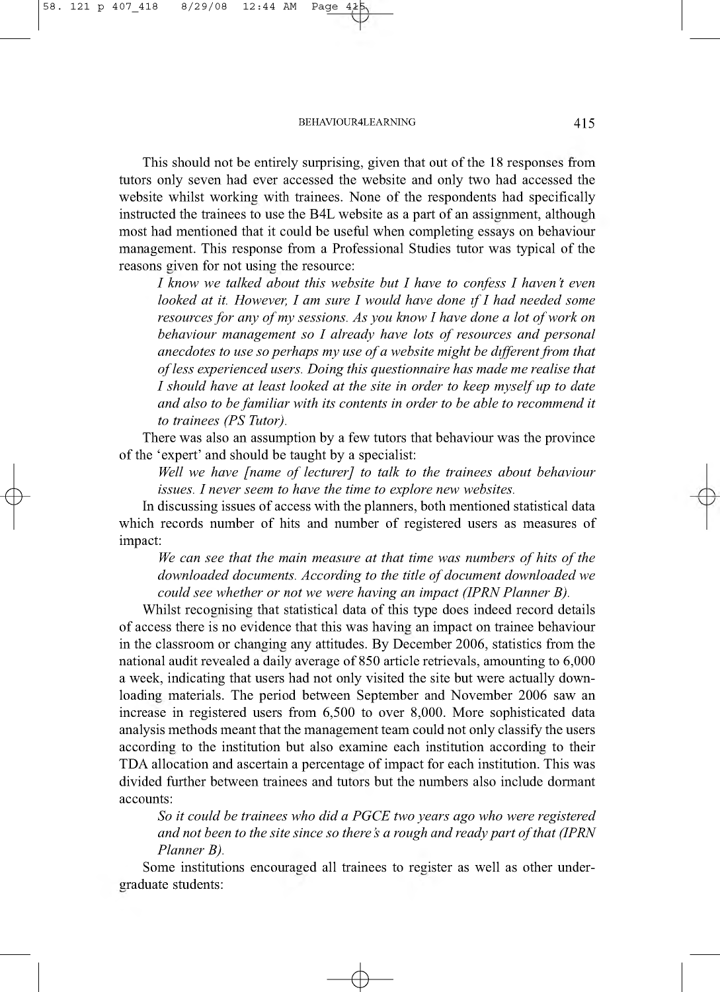This should not be entirely surprising, given that out of the 18 responses from tutors only seven had ever accessed the website and only two had accessed the website whilst working with trainees. None of the respondents had specifically instructed the trainees to use the B4L website as a part of an assignment, although most had mentioned that it could be useful when completing essays on behaviour management. This response from a Professional Studies tutor was typical of the reasons given for not using the resource:

*I know we talked about this website but I have to confess I haven't even looked at it. However, I am sure I would have done if I had needed some resources for any of my sessions. As you know I have done a lot of work on behaviour management so I already have lots of resources and personal anecdotes to use so perhaps my use of a website might be different from that of less experienced users. Doing this questionnaire has made me realise that I should have at least looked at the site in order to keep myself up to date and also to be familiar with its contents in order to be able to recommend it to trainees (PS Tutor).*

There was also an assumption by a few tutors that behaviour was the province of the 'expert' and should be taught by a specialist:

*Well we have [name of lecturer] to talk to the trainees about behaviour issues. I never seem to have the time to explore new websites.*

In discussing issues of access with the planners, both mentioned statistical data which records number of hits and number of registered users as measures of impact:

*We can see that the main measure at that time was numbers of hits of the* downloaded documents. According to the title of document downloaded we *could see whether or not we were having an impact (IPRN Planner B).*

Whilst recognising that statistical data of this type does indeed record details of access there is no evidence that this was having an impact on trainee behaviour in the classroom or changing any attitudes. By December 2006, statistics from the national audit revealed a daily average of 850 article retrievals, amounting to 6,000 a week, indicating that users had not only visited the site but were actually downloading materials. The period between September and November 2006 saw an increase in registered users from 6,500 to over 8,000. More sophisticated data analysis methods meant that the management team could not only classify the users according to the institution but also examine each institution according to their TDA allocation and ascertain a percentage of impact for each institution. This was divided further between trainees and tutors but the numbers also include dormant accounts:

*So it could be trainees who did a PGCE two years ago who were registered and not been to the site since so there's a rough and ready part of that (IPRN Planner B).*

Some institutions encouraged all trainees to register as well as other undergraduate students:

 $\rightarrow$ 

 $\in$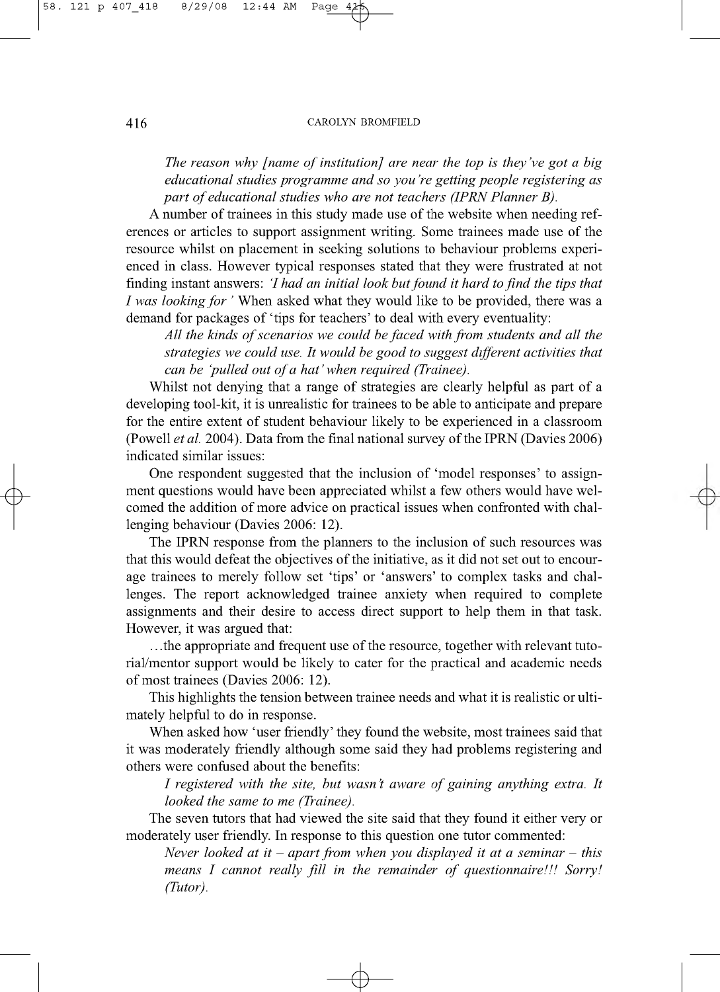*Q -*

*The reason why [name of institution] are near the top is they've got a big educational studies programme and so you're getting people registering as part of educational studies who are not teachers (IPRN Planner B).* 

A number of trainees in this study made use of the website when needing references or articles to support assignment writing. Some trainees made use of the resource whilst on placement in seeking solutions to behaviour problems experienced in class. However typical responses stated that they were frustrated at not finding instant answers: *'I had an initial look but found it hard to find the tips that I was looking for* 'When asked what they would like to be provided, there was a demand for packages of 'tips for teachers' to deal with every eventuality:

All the kinds of scenarios we could be faced with from students and all the *strategies we could use. It would be good to suggest different activities that can be 'pulled out of a hat' when required (Trainee).* 

Whilst not denying that a range of strategies are clearly helpful as part of a developing tool-kit, it is unrealistic for trainees to be able to anticipate and prepare for the entire extent of student behaviour likely to be experienced in a classroom (Powell *et al.* 2004). Data from the final national survey of the IPRN (Davies 2006) indicated similar issues:

One respondent suggested that the inclusion of 'model responses' to assignment questions would have been appreciated whilst a few others would have welcomed the addition of more advice on practical issues when confronted with challenging behaviour (Davies 2006: 12).

The IPRN response from the planners to the inclusion of such resources was that this would defeat the objectives of the initiative, as it did not set out to encourage trainees to merely follow set 'tips' or 'answers' to complex tasks and challenges. The report acknowledged trainee anxiety when required to complete assignments and their desire to access direct support to help them in that task. However, it was argued that:

.. .the appropriate and frequent use of the resource, together with relevant tutorial/mentor support would be likely to cater for the practical and academic needs of most trainees (Davies 2006: 12).

This highlights the tension between trainee needs and what it is realistic or ultimately helpful to do in response.

When asked how 'user friendly' they found the website, most trainees said that it was moderately friendly although some said they had problems registering and others were confused about the benefits:

*I registered with the site, but wasn't aware of gaining anything extra. It looked the same to me (Trainee).*

The seven tutors that had viewed the site said that they found it either very or moderately user friendly. In response to this question one tutor commented:

 $\rightarrow$ 

*Never looked at it - apart from when you displayed it at a seminar - this means I cannot really fill in the remainder of questionnaire!!! Sorry! (Tutor).*

 $\in$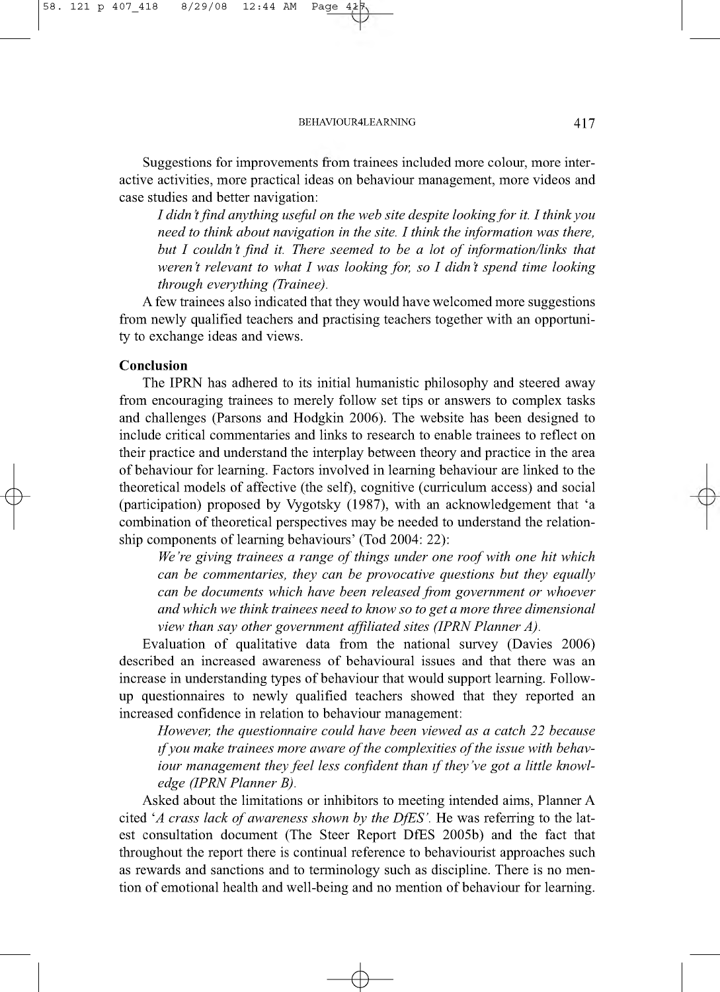Suggestions for improvements from trainees included more colour, more interactive activities, more practical ideas on behaviour management, more videos and case studies and better navigation:

I didn't find anything useful on the web site despite looking for it. I think you *need to think about navigation in the site. I think the information was there, but I couldn't find it. There seemed to be a lot of information/links that weren't relevant to what I was looking for, so I didn't spend time looking through everything (Trainee).*

A few trainees also indicated that they would have welcomed more suggestions from newly qualified teachers and practising teachers together with an opportunity to exchange ideas and views.

# **Conclusion**

 $\in$ 

The IPRN has adhered to its initial humanistic philosophy and steered away from encouraging trainees to merely follow set tips or answers to complex tasks and challenges (Parsons and Hodgkin 2006). The website has been designed to include critical commentaries and links to research to enable trainees to reflect on their practice and understand the interplay between theory and practice in the area of behaviour for learning. Factors involved in learning behaviour are linked to the theoretical models of affective (the self), cognitive (curriculum access) and social (participation) proposed by Vygotsky (1987), with an acknowledgement that 'a combination of theoretical perspectives may be needed to understand the relationship components of learning behaviours' (Tod 2004: 22):

We're giving trainees a range of things under one roof with one hit which *can be commentaries, they can be provocative questions but they equally can be documents which have been released from government or whoever and which we think trainees need to know so to get a more three dimensional view than say other government affiliated sites (IPRN Planner A).*

Evaluation of qualitative data from the national survey (Davies 2006) described an increased awareness of behavioural issues and that there was an increase in understanding types of behaviour that would support learning. Followup questionnaires to newly qualified teachers showed that they reported an increased confidence in relation to behaviour management:

*However, the questionnaire could have been viewed as a catch 22 because if you make trainees more aware of the complexities of the issue with behaviour management they feel less confident than if they've got a little knowledge (IPRN Planner B).*

Asked about the limitations or inhibitors to meeting intended aims, Planner A cited 'A crass lack of awareness shown by the DfES'. He was referring to the latest consultation document (The Steer Report DfES 2005b) and the fact that throughout the report there is continual reference to behaviourist approaches such as rewards and sanctions and to terminology such as discipline. There is no mention of emotional health and well-being and no mention of behaviour for learning.